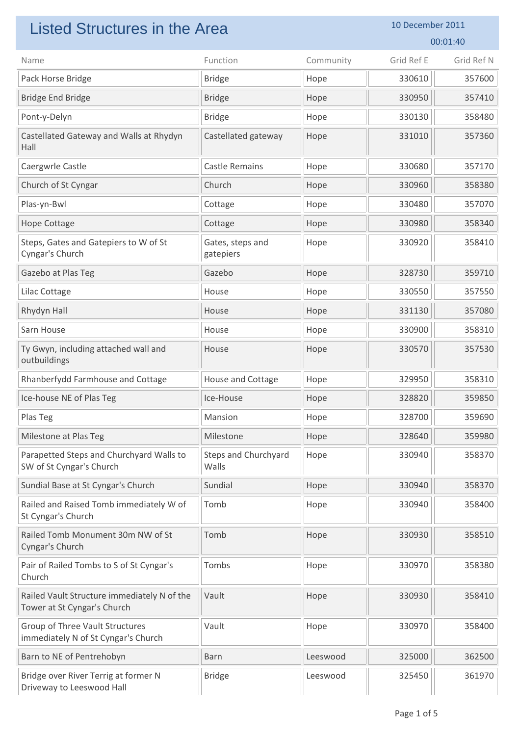| Listed Structures in the Area                                              |                               |           | 10 December 2011 |            |
|----------------------------------------------------------------------------|-------------------------------|-----------|------------------|------------|
|                                                                            |                               |           |                  | 00:01:40   |
| Name                                                                       | Function                      | Community | Grid Ref E       | Grid Ref N |
| Pack Horse Bridge                                                          | <b>Bridge</b>                 | Hope      | 330610           | 357600     |
| <b>Bridge End Bridge</b>                                                   | <b>Bridge</b>                 | Hope      | 330950           | 357410     |
| Pont-y-Delyn                                                               | <b>Bridge</b>                 | Hope      | 330130           | 358480     |
| Castellated Gateway and Walls at Rhydyn<br>Hall                            | Castellated gateway           | Hope      | 331010           | 357360     |
| Caergwrle Castle                                                           | <b>Castle Remains</b>         | Hope      | 330680           | 357170     |
| Church of St Cyngar                                                        | Church                        | Hope      | 330960           | 358380     |
| Plas-yn-Bwl                                                                | Cottage                       | Hope      | 330480           | 357070     |
| Hope Cottage                                                               | Cottage                       | Hope      | 330980           | 358340     |
| Steps, Gates and Gatepiers to W of St<br>Cyngar's Church                   | Gates, steps and<br>gatepiers | Hope      | 330920           | 358410     |
| Gazebo at Plas Teg                                                         | Gazebo                        | Hope      | 328730           | 359710     |
| Lilac Cottage                                                              | House                         | Hope      | 330550           | 357550     |
| Rhydyn Hall                                                                | House                         | Hope      | 331130           | 357080     |
| Sarn House                                                                 | House                         | Hope      | 330900           | 358310     |
| Ty Gwyn, including attached wall and<br>outbuildings                       | House                         | Hope      | 330570           | 357530     |
| Rhanberfydd Farmhouse and Cottage                                          | House and Cottage             | Hope      | 329950           | 358310     |
| Ice-house NE of Plas Teg                                                   | Ice-House                     | Hope      | 328820           | 359850     |
| Plas Teg                                                                   | Mansion                       | Hope      | 328700           | 359690     |
| Milestone at Plas Teg                                                      | Milestone                     | Hope      | 328640           | 359980     |
| Parapetted Steps and Churchyard Walls to<br>SW of St Cyngar's Church       | Steps and Churchyard<br>Walls | Hope      | 330940           | 358370     |
| Sundial Base at St Cyngar's Church                                         | Sundial                       | Hope      | 330940           | 358370     |
| Railed and Raised Tomb immediately W of<br>St Cyngar's Church              | Tomb                          | Hope      | 330940           | 358400     |
| Railed Tomb Monument 30m NW of St<br>Cyngar's Church                       | Tomb                          | Hope      | 330930           | 358510     |
| Pair of Railed Tombs to S of St Cyngar's<br>Church                         | Tombs                         | Hope      | 330970           | 358380     |
| Railed Vault Structure immediately N of the<br>Tower at St Cyngar's Church | Vault                         | Hope      | 330930           | 358410     |
| Group of Three Vault Structures<br>immediately N of St Cyngar's Church     | Vault                         | Hope      | 330970           | 358400     |
| Barn to NE of Pentrehobyn                                                  | <b>Barn</b>                   | Leeswood  | 325000           | 362500     |
| Bridge over River Terrig at former N<br>Driveway to Leeswood Hall          | <b>Bridge</b>                 | Leeswood  | 325450           | 361970     |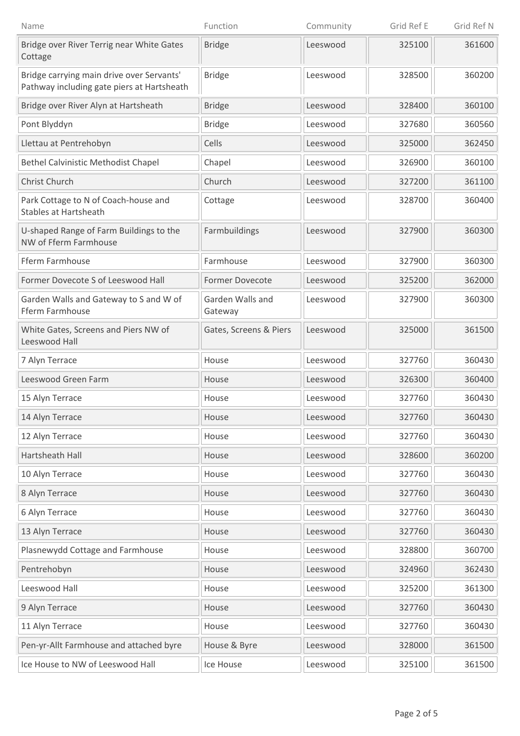| Name                                                                                    | Function                    | Community | Grid Ref E | Grid Ref N |
|-----------------------------------------------------------------------------------------|-----------------------------|-----------|------------|------------|
| Bridge over River Terrig near White Gates<br>Cottage                                    | <b>Bridge</b>               | Leeswood  | 325100     | 361600     |
| Bridge carrying main drive over Servants'<br>Pathway including gate piers at Hartsheath | <b>Bridge</b>               | Leeswood  | 328500     | 360200     |
| Bridge over River Alyn at Hartsheath                                                    | <b>Bridge</b>               | Leeswood  | 328400     | 360100     |
| Pont Blyddyn                                                                            | <b>Bridge</b>               | Leeswood  | 327680     | 360560     |
| Llettau at Pentrehobyn                                                                  | Cells                       | Leeswood  | 325000     | 362450     |
| <b>Bethel Calvinistic Methodist Chapel</b>                                              | Chapel                      | Leeswood  | 326900     | 360100     |
| Christ Church                                                                           | Church                      | Leeswood  | 327200     | 361100     |
| Park Cottage to N of Coach-house and<br><b>Stables at Hartsheath</b>                    | Cottage                     | Leeswood  | 328700     | 360400     |
| U-shaped Range of Farm Buildings to the<br>NW of Fferm Farmhouse                        | Farmbuildings               | Leeswood  | 327900     | 360300     |
| Fferm Farmhouse                                                                         | Farmhouse                   | Leeswood  | 327900     | 360300     |
| Former Dovecote S of Leeswood Hall                                                      | Former Dovecote             | Leeswood  | 325200     | 362000     |
| Garden Walls and Gateway to S and W of<br>Fferm Farmhouse                               | Garden Walls and<br>Gateway | Leeswood  | 327900     | 360300     |
| White Gates, Screens and Piers NW of<br>Leeswood Hall                                   | Gates, Screens & Piers      | Leeswood  | 325000     | 361500     |
| 7 Alyn Terrace                                                                          | House                       | Leeswood  | 327760     | 360430     |
| Leeswood Green Farm                                                                     | House                       | Leeswood  | 326300     | 360400     |
| 15 Alyn Terrace                                                                         | House                       | Leeswood  | 327760     | 360430     |
| 14 Alyn Terrace                                                                         | House                       | Leeswood  | 327760     | 360430     |
| 12 Alyn Terrace                                                                         | House                       | Leeswood  | 327760     | 360430     |
| Hartsheath Hall                                                                         | House                       | Leeswood  | 328600     | 360200     |
| 10 Alyn Terrace                                                                         | House                       | Leeswood  | 327760     | 360430     |
| 8 Alyn Terrace                                                                          | House                       | Leeswood  | 327760     | 360430     |
| 6 Alyn Terrace                                                                          | House                       | Leeswood  | 327760     | 360430     |
| 13 Alyn Terrace                                                                         | House                       | Leeswood  | 327760     | 360430     |
| Plasnewydd Cottage and Farmhouse                                                        | House                       | Leeswood  | 328800     | 360700     |
| Pentrehobyn                                                                             | House                       | Leeswood  | 324960     | 362430     |
| Leeswood Hall                                                                           | House                       | Leeswood  | 325200     | 361300     |
| 9 Alyn Terrace                                                                          | House                       | Leeswood  | 327760     | 360430     |
| 11 Alyn Terrace                                                                         | House                       | Leeswood  | 327760     | 360430     |
| Pen-yr-Allt Farmhouse and attached byre                                                 | House & Byre                | Leeswood  | 328000     | 361500     |
| Ice House to NW of Leeswood Hall                                                        | Ice House                   | Leeswood  | 325100     | 361500     |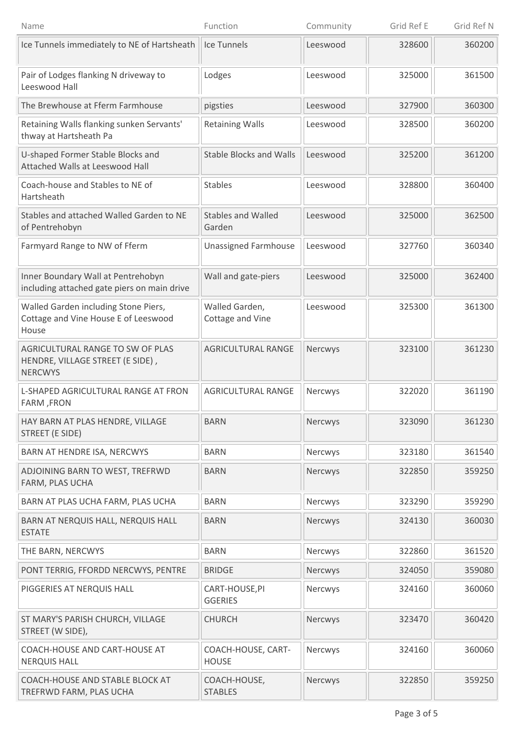| Name                                                                                   | Function                            | Community | Grid Ref E | Grid Ref N |
|----------------------------------------------------------------------------------------|-------------------------------------|-----------|------------|------------|
| Ice Tunnels immediately to NE of Hartsheath                                            | <b>Ice Tunnels</b>                  | Leeswood  | 328600     | 360200     |
| Pair of Lodges flanking N driveway to<br>Leeswood Hall                                 | Lodges                              | Leeswood  | 325000     | 361500     |
| The Brewhouse at Fferm Farmhouse                                                       | pigsties                            | Leeswood  | 327900     | 360300     |
| Retaining Walls flanking sunken Servants'<br>thway at Hartsheath Pa                    | <b>Retaining Walls</b>              | Leeswood  | 328500     | 360200     |
| U-shaped Former Stable Blocks and<br>Attached Walls at Leeswood Hall                   | <b>Stable Blocks and Walls</b>      | Leeswood  | 325200     | 361200     |
| Coach-house and Stables to NE of<br>Hartsheath                                         | <b>Stables</b>                      | Leeswood  | 328800     | 360400     |
| Stables and attached Walled Garden to NE<br>of Pentrehobyn                             | <b>Stables and Walled</b><br>Garden | Leeswood  | 325000     | 362500     |
| Farmyard Range to NW of Fferm                                                          | <b>Unassigned Farmhouse</b>         | Leeswood  | 327760     | 360340     |
| Inner Boundary Wall at Pentrehobyn<br>including attached gate piers on main drive      | Wall and gate-piers                 | Leeswood  | 325000     | 362400     |
| Walled Garden including Stone Piers,<br>Cottage and Vine House E of Leeswood<br>House  | Walled Garden,<br>Cottage and Vine  | Leeswood  | 325300     | 361300     |
| AGRICULTURAL RANGE TO SW OF PLAS<br>HENDRE, VILLAGE STREET (E SIDE),<br><b>NERCWYS</b> | <b>AGRICULTURAL RANGE</b>           | Nercwys   | 323100     | 361230     |
| L-SHAPED AGRICULTURAL RANGE AT FRON<br>FARM, FRON                                      | <b>AGRICULTURAL RANGE</b>           | Nercwys   | 322020     | 361190     |
| HAY BARN AT PLAS HENDRE, VILLAGE<br><b>STREET (E SIDE)</b>                             | <b>BARN</b>                         | Nercwys   | 323090     | 361230     |
| BARN AT HENDRE ISA, NERCWYS                                                            | <b>BARN</b>                         | Nercwys   | 323180     | 361540     |
| ADJOINING BARN TO WEST, TREFRWD<br>FARM, PLAS UCHA                                     | <b>BARN</b>                         | Nercwys   | 322850     | 359250     |
| BARN AT PLAS UCHA FARM, PLAS UCHA                                                      | <b>BARN</b>                         | Nercwys   | 323290     | 359290     |
| BARN AT NERQUIS HALL, NERQUIS HALL<br><b>ESTATE</b>                                    | <b>BARN</b>                         | Nercwys   | 324130     | 360030     |
| THE BARN, NERCWYS                                                                      | <b>BARN</b>                         | Nercwys   | 322860     | 361520     |
| PONT TERRIG, FFORDD NERCWYS, PENTRE                                                    | <b>BRIDGE</b>                       | Nercwys   | 324050     | 359080     |
| PIGGERIES AT NERQUIS HALL                                                              | CART-HOUSE, PI<br><b>GGERIES</b>    | Nercwys   | 324160     | 360060     |
| ST MARY'S PARISH CHURCH, VILLAGE<br>STREET (W SIDE),                                   | <b>CHURCH</b>                       | Nercwys   | 323470     | 360420     |
| COACH-HOUSE AND CART-HOUSE AT<br><b>NERQUIS HALL</b>                                   | COACH-HOUSE, CART-<br><b>HOUSE</b>  | Nercwys   | 324160     | 360060     |
| COACH-HOUSE AND STABLE BLOCK AT<br>TREFRWD FARM, PLAS UCHA                             | COACH-HOUSE,<br><b>STABLES</b>      | Nercwys   | 322850     | 359250     |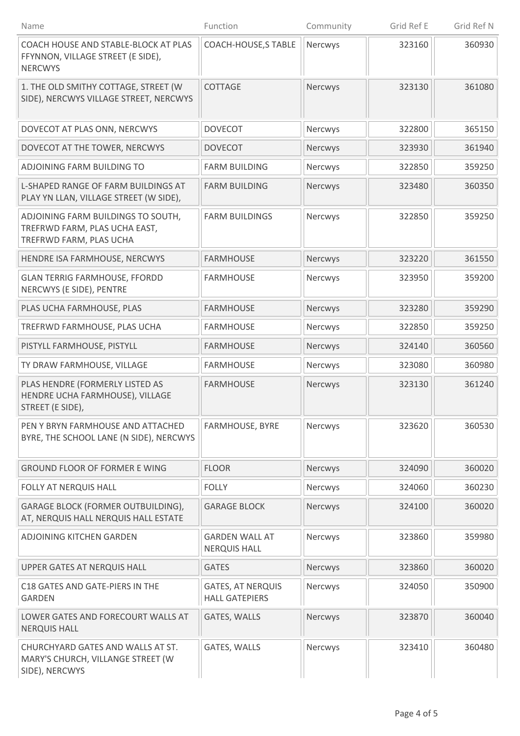| Name                                                                                           | Function                                          | Community | Grid Ref E | Grid Ref N |
|------------------------------------------------------------------------------------------------|---------------------------------------------------|-----------|------------|------------|
| COACH HOUSE AND STABLE-BLOCK AT PLAS<br>FFYNNON, VILLAGE STREET (E SIDE),<br><b>NERCWYS</b>    | <b>COACH-HOUSE,S TABLE</b>                        | Nercwys   | 323160     | 360930     |
| 1. THE OLD SMITHY COTTAGE, STREET (W<br>SIDE), NERCWYS VILLAGE STREET, NERCWYS                 | <b>COTTAGE</b>                                    | Nercwys   | 323130     | 361080     |
| DOVECOT AT PLAS ONN, NERCWYS                                                                   | <b>DOVECOT</b>                                    | Nercwys   | 322800     | 365150     |
| DOVECOT AT THE TOWER, NERCWYS                                                                  | <b>DOVECOT</b>                                    | Nercwys   | 323930     | 361940     |
| ADJOINING FARM BUILDING TO                                                                     | <b>FARM BUILDING</b>                              | Nercwys   | 322850     | 359250     |
| L-SHAPED RANGE OF FARM BUILDINGS AT<br>PLAY YN LLAN, VILLAGE STREET (W SIDE),                  | <b>FARM BUILDING</b>                              | Nercwys   | 323480     | 360350     |
| ADJOINING FARM BUILDINGS TO SOUTH,<br>TREFRWD FARM, PLAS UCHA EAST,<br>TREFRWD FARM, PLAS UCHA | <b>FARM BUILDINGS</b>                             | Nercwys   | 322850     | 359250     |
| HENDRE ISA FARMHOUSE, NERCWYS                                                                  | <b>FARMHOUSE</b>                                  | Nercwys   | 323220     | 361550     |
| <b>GLAN TERRIG FARMHOUSE, FFORDD</b><br>NERCWYS (E SIDE), PENTRE                               | <b>FARMHOUSE</b>                                  | Nercwys   | 323950     | 359200     |
| PLAS UCHA FARMHOUSE, PLAS                                                                      | <b>FARMHOUSE</b>                                  | Nercwys   | 323280     | 359290     |
| TREFRWD FARMHOUSE, PLAS UCHA                                                                   | <b>FARMHOUSE</b>                                  | Nercwys   | 322850     | 359250     |
| PISTYLL FARMHOUSE, PISTYLL                                                                     | <b>FARMHOUSE</b>                                  | Nercwys   | 324140     | 360560     |
| TY DRAW FARMHOUSE, VILLAGE                                                                     | <b>FARMHOUSE</b>                                  | Nercwys   | 323080     | 360980     |
| PLAS HENDRE (FORMERLY LISTED AS<br>HENDRE UCHA FARMHOUSE), VILLAGE<br>STREET (E SIDE),         | <b>FARMHOUSE</b>                                  | Nercwys   | 323130     | 361240     |
| PEN Y BRYN FARMHOUSE AND ATTACHED<br>BYRE, THE SCHOOL LANE (N SIDE), NERCWYS                   | FARMHOUSE, BYRE                                   | Nercwys   | 323620     | 360530     |
| <b>GROUND FLOOR OF FORMER E WING</b>                                                           | <b>FLOOR</b>                                      | Nercwys   | 324090     | 360020     |
| FOLLY AT NERQUIS HALL                                                                          | <b>FOLLY</b>                                      | Nercwys   | 324060     | 360230     |
| GARAGE BLOCK (FORMER OUTBUILDING),<br>AT, NERQUIS HALL NERQUIS HALL ESTATE                     | <b>GARAGE BLOCK</b>                               | Nercwys   | 324100     | 360020     |
| ADJOINING KITCHEN GARDEN                                                                       | <b>GARDEN WALL AT</b><br><b>NERQUIS HALL</b>      | Nercwys   | 323860     | 359980     |
| UPPER GATES AT NERQUIS HALL                                                                    | <b>GATES</b>                                      | Nercwys   | 323860     | 360020     |
| C18 GATES AND GATE-PIERS IN THE<br><b>GARDEN</b>                                               | <b>GATES, AT NERQUIS</b><br><b>HALL GATEPIERS</b> | Nercwys   | 324050     | 350900     |
| LOWER GATES AND FORECOURT WALLS AT<br><b>NERQUIS HALL</b>                                      | GATES, WALLS                                      | Nercwys   | 323870     | 360040     |
| CHURCHYARD GATES AND WALLS AT ST.<br>MARY'S CHURCH, VILLANGE STREET (W<br>SIDE), NERCWYS       | GATES, WALLS                                      | Nercwys   | 323410     | 360480     |